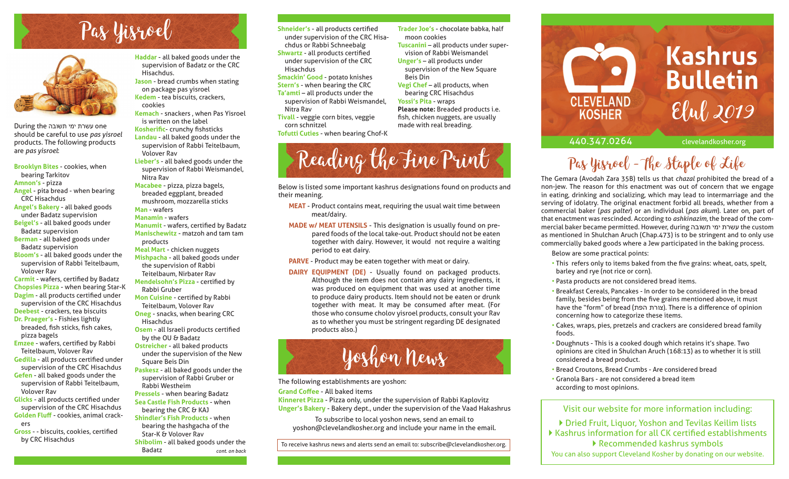# Pas Yisroel



During the עשרת ימי תשובה should be careful to use *pas yisroel* products. The following products are *pas yisroel*:

**Brooklyn Bites** - cookies, when bearing Tarkitov **Amnon's** - pizza **Angel** - pita bread - when bearing CRC Hisachdus **Angel's Bakery** - all baked goods under Badatz supervision **Beigel's** - all baked goods under Badatz supervision **Berman** - all baked goods under Badatz supervision **Bloom's** - all baked goods under the supervision of Rabbi Teitelbaum, Volover Rav **Carmit** - wafers, certified by Badatz

**Chopsies Pizza** - when bearing Star-K **Dagim** - all products certified under supervision of the CRC Hisachdus **Deebest** - crackers, tea biscuits

**Dr. Praeger's** - Fishies lightly breaded, fish sticks, fish cakes, pizza bagels

**Emzee** - wafers, certified by Rabbi Teitelbaum, Volover Rav

**Gedilla** - all products certified under supervision of the CRC Hisachdus **Gefen** - all baked goods under the supervision of Rabbi Teitelbaum,

- Volover Rav **Glicks** - all products certified under supervision of the CRC Hisachdus **Golden Fluff** - cookies, animal crack-
- ers **Gross** - - biscuits, cookies, certified by CRC Hisachdus

**Haddar** - all baked goods under the supervision of Badatz or the CRC Hisachdus.

**Jason** - bread crumbs when stating on package pas yisroel **Kedem** - tea biscuits, crackers,

cookies **Kemach** - snackers , when Pas Yisroel is written on the label **Kosherific- crunchy fishsticks Landau** - all baked goods under the

- supervision of Rabbi Teitelbaum, Volover Rav **Lieber's** - all baked goods under the
- supervision of Rabbi Weismandel, Nitra Rav
- **Macabee** pizza, pizza bagels, breaded eggplant, breaded mushroom, mozzarella sticks **Man** - wafers

**Manamin** - wafers

- **Manumit** wafers, certified by Badatz **Manischewitz** - matzoh and tam tam products
- **Meal Mart** chicken nuggets **Mishpacha** - all baked goods under the supervision of Rabbi
- Teitelbaum, Nirbater Rav **Mendelsohn's Pizza - certified by**

Rabbi Gruber **Mon Cuisine** - certified by Rabbi

Teitelbaum, Volover Rav **Oneg** - snacks, when bearing CRC Hisachdus

**Osem** - all Israeli products certified by the OU & Badatz

**Ostreicher** - all baked products under the supervision of the New

Square Beis Din **Paskesz** - all baked goods under the supervision of Rabbi Gruber or Rabbi Westheim **Pressels** - when bearing Badatz **Sea Castle Fish Products** - when bearing the CRC & KAJ **Shindler's Fish Products** - when

bearing the hashgacha of the Star-K & Volover Rav **Shibolim** - all baked goods under the Badatz

- **Shneider's** all products certified under supervision of the CRC Hisachdus or Rabbi Schneebalg **Shwartz** - all products certified under supervision of the CRC Hisachdus
- **Smackin' Good** potato knishes **Stern's** - when bearing the CRC **Ta'amti** – all products under the supervision of Rabbi Weismandel, Nitra Rav

**Tivall** - veggie corn bites, veggie corn schnitzel

**Tofutti Cuties** - when bearing Chof-K

# Reading the Fine Print

**Trader Joe's** - chocolate babka, half

**Tuscanini** – all products under supervision of Rabbi Weismandel **Unger's** – all products under supervision of the New Square

**Vegi Chef** – all products, when bearing CRC Hisachdus **Yossi's Pita** - wraps

**Please note:** Breaded products i.e. fish, chicken nuggets, are usually made with real breading.

moon cookies

Beis Din

Below is listed some important kashrus designations found on products and their meaning.

- **MEAT** Product contains meat, requiring the usual wait time between meat/dairy.
- **MADE w/ MEAT UTENSILS** This designation is usually found on prepared foods of the local take-out. Product should not be eaten together with dairy. However, it would not require a waiting period to eat dairy.
- **PARVE** Product may be eaten together with meat or dairy.
- **DAIRY EQUIPMENT (DE)** Usually found on packaged products. Although the item does not contain any dairy ingredients, it was produced on equipment that was used at another time to produce dairy products. Item should not be eaten or drunk together with meat. It may be consumed after meat. (For those who consume cholov yisroel products, consult your Rav as to whether you must be stringent regarding DE designated products also.)



The following establishments are yoshon:

## **Grand Coffee - All baked items**

**Kinneret Pizza** - Pizza only, under the supervision of Rabbi Kaplovitz **Unger's Bakery** - Bakery dept., under the supervision of the Vaad Hakashrus

To subscribe to local yoshon news, send an email to yoshon@clevelandkosher.org and include your name in the email.

To receive kashrus news and alerts send an email to: subscribe@clevelandkosher.org.

**Kashrus Bulletin CLEVELAND** Elul 2019**KOSHER** 440.347.0264 clevelandkosher.org

# Pas Yisroel - The Staple of Life

The Gemara (Avodah Zara 35B) tells us that *chazal* prohibited the bread of a non-jew. The reason for this enactment was out of concern that we engage in eating, drinking and socializing, which may lead to intermarriage and the serving of idolatry. The original enactment forbid all breads, whether from a commercial baker (*pas palter*) or an individual (*pas akum*). Later on, part of that enactment was rescinded. According to *ashkinazim*, the bread of the commercial baker became permitted. However, during the custom as mentioned in Shulchan Aruch (Chap.473) is to be stringent and to only use commercially baked goods where a Jew participated in the baking process.

Below are some practical points:

- This refers only to items baked from the five grains: wheat, oats, spelt, barley and rye (not rice or corn).
- Pasta products are not considered bread items.
- Breakfast Cereals, Pancakes In order to be considered in the bread family, besides being from the five grains mentioned above, it must have the "form" of bread (צורת הפת). There is a difference of opinion concerning how to categorize these items.
- Cakes, wraps, pies, pretzels and crackers are considered bread family foods.
- Doughnuts This is a cooked dough which retains it's shape. Two opinions are cited in Shulchan Aruch (168:13) as to whether it is still considered a bread product.
- Bread Croutons, Bread Crumbs Are considered bread
- Granola Bars are not considered a bread item according to most opinions.

## Visit our website for more information including:

▶ Dried Fruit, Liquor, Yoshon and Tevilas Keilim lists  $\blacktriangleright$  Kashrus information for all CK certified establishments Recommended kashrus symbols

You can also support Cleveland Kosher by donating on our website. *cont. on back*